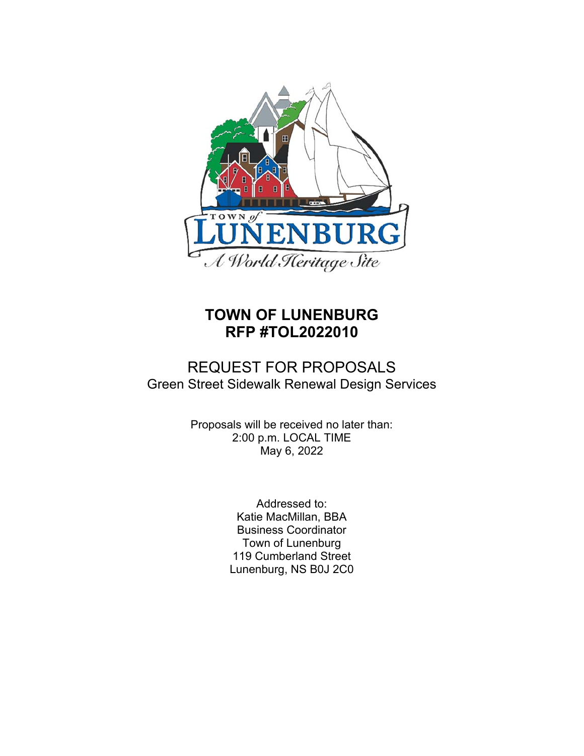

# **TOWN OF LUNENBURG RFP #TOL2022010**

## REQUEST FOR PROPOSALS Green Street Sidewalk Renewal Design Services

Proposals will be received no later than: 2:00 p.m. LOCAL TIME May 6, 2022

> Addressed to: Katie MacMillan, BBA Business Coordinator Town of Lunenburg 119 Cumberland Street Lunenburg, NS B0J 2C0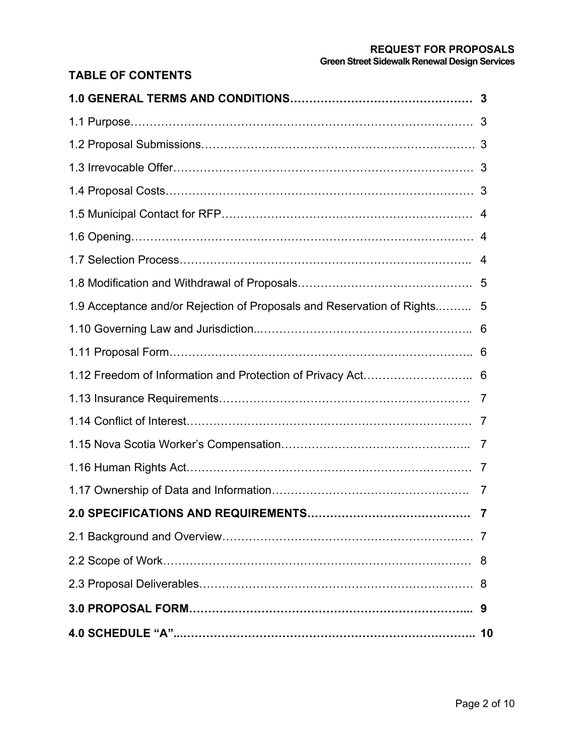## **REQUEST FOR PROPOSALS Green Street Sidewalk Renewal Design Services**

## **TABLE OF CONTENTS**

| 1.9 Acceptance and/or Rejection of Proposals and Reservation of Rights 5 |   |
|--------------------------------------------------------------------------|---|
|                                                                          |   |
|                                                                          |   |
|                                                                          |   |
|                                                                          |   |
|                                                                          |   |
|                                                                          |   |
|                                                                          |   |
|                                                                          | 7 |
|                                                                          |   |
|                                                                          |   |
|                                                                          | 8 |
|                                                                          |   |
|                                                                          |   |
|                                                                          |   |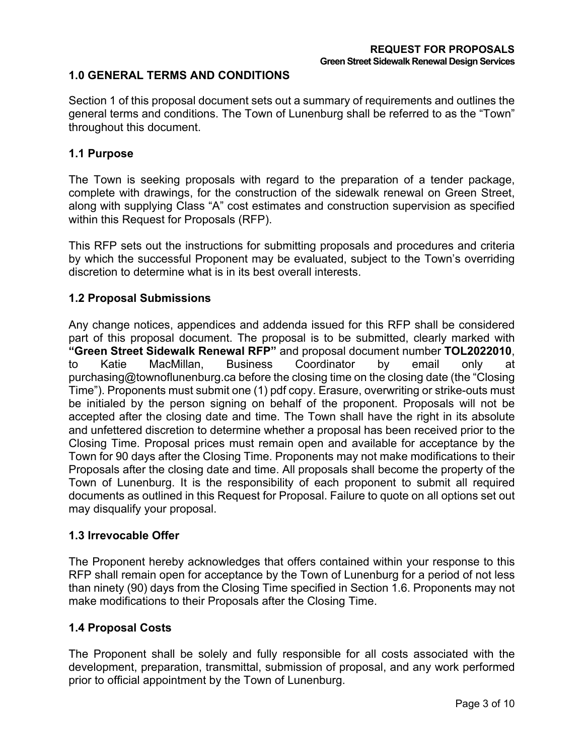## **1.0 GENERAL TERMS AND CONDITIONS**

Section 1 of this proposal document sets out a summary of requirements and outlines the general terms and conditions. The Town of Lunenburg shall be referred to as the "Town" throughout this document.

#### **1.1 Purpose**

The Town is seeking proposals with regard to the preparation of a tender package, complete with drawings, for the construction of the sidewalk renewal on Green Street, along with supplying Class "A" cost estimates and construction supervision as specified within this Request for Proposals (RFP).

This RFP sets out the instructions for submitting proposals and procedures and criteria by which the successful Proponent may be evaluated, subject to the Town's overriding discretion to determine what is in its best overall interests.

## **1.2 Proposal Submissions**

Any change notices, appendices and addenda issued for this RFP shall be considered part of this proposal document. The proposal is to be submitted, clearly marked with **"Green Street Sidewalk Renewal RFP"** and proposal document number **TOL2022010**, to Katie MacMillan, Business Coordinator by email only at purchasing@townoflunenburg.ca before the closing time on the closing date (the "Closing Time"). Proponents must submit one (1) pdf copy. Erasure, overwriting or strike-outs must be initialed by the person signing on behalf of the proponent. Proposals will not be accepted after the closing date and time. The Town shall have the right in its absolute and unfettered discretion to determine whether a proposal has been received prior to the Closing Time. Proposal prices must remain open and available for acceptance by the Town for 90 days after the Closing Time. Proponents may not make modifications to their Proposals after the closing date and time. All proposals shall become the property of the Town of Lunenburg. It is the responsibility of each proponent to submit all required documents as outlined in this Request for Proposal. Failure to quote on all options set out may disqualify your proposal.

#### **1.3 Irrevocable Offer**

The Proponent hereby acknowledges that offers contained within your response to this RFP shall remain open for acceptance by the Town of Lunenburg for a period of not less than ninety (90) days from the Closing Time specified in Section 1.6. Proponents may not make modifications to their Proposals after the Closing Time.

#### **1.4 Proposal Costs**

The Proponent shall be solely and fully responsible for all costs associated with the development, preparation, transmittal, submission of proposal, and any work performed prior to official appointment by the Town of Lunenburg.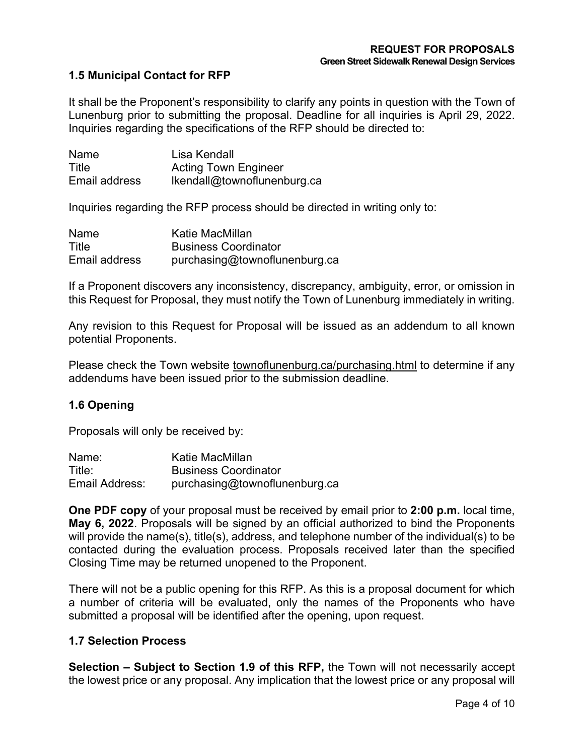## **1.5 Municipal Contact for RFP**

It shall be the Proponent's responsibility to clarify any points in question with the Town of Lunenburg prior to submitting the proposal. Deadline for all inquiries is April 29, 2022. Inquiries regarding the specifications of the RFP should be directed to:

| Name          | Lisa Kendall                |
|---------------|-----------------------------|
| Title         | <b>Acting Town Engineer</b> |
| Email address | Ikendall@townoflunenburg.ca |

Inquiries regarding the RFP process should be directed in writing only to:

| Name          | Katie MacMillan               |
|---------------|-------------------------------|
| Title         | <b>Business Coordinator</b>   |
| Email address | purchasing@townoflunenburg.ca |

If a Proponent discovers any inconsistency, discrepancy, ambiguity, error, or omission in this Request for Proposal, they must notify the Town of Lunenburg immediately in writing.

Any revision to this Request for Proposal will be issued as an addendum to all known potential Proponents.

Please check the Town website townoflunenburg.ca/purchasing.html to determine if any addendums have been issued prior to the submission deadline.

#### **1.6 Opening**

Proposals will only be received by:

| Name:          | Katie MacMillan               |
|----------------|-------------------------------|
| Title:         | <b>Business Coordinator</b>   |
| Email Address: | purchasing@townoflunenburg.ca |

**One PDF copy** of your proposal must be received by email prior to **2:00 p.m.** local time, **May 6, 2022**. Proposals will be signed by an official authorized to bind the Proponents will provide the name(s), title(s), address, and telephone number of the individual(s) to be contacted during the evaluation process. Proposals received later than the specified Closing Time may be returned unopened to the Proponent.

There will not be a public opening for this RFP. As this is a proposal document for which a number of criteria will be evaluated, only the names of the Proponents who have submitted a proposal will be identified after the opening, upon request.

#### **1.7 Selection Process**

**Selection – Subject to Section 1.9 of this RFP,** the Town will not necessarily accept the lowest price or any proposal. Any implication that the lowest price or any proposal will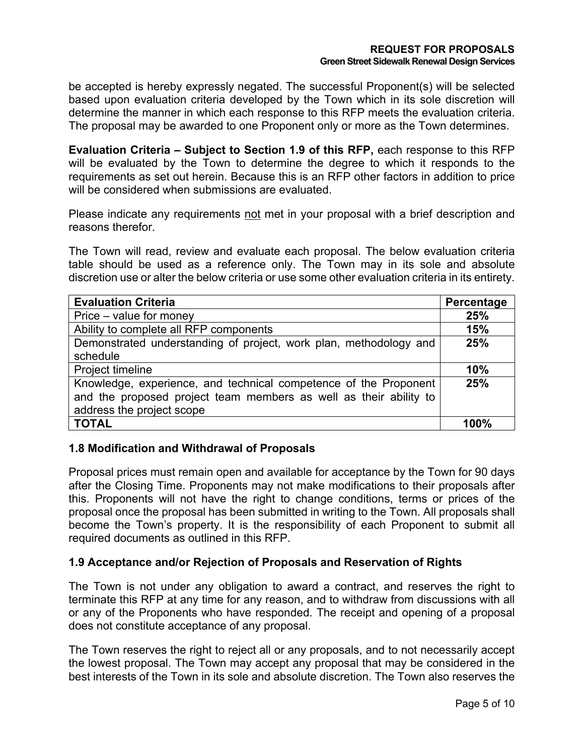be accepted is hereby expressly negated. The successful Proponent(s) will be selected based upon evaluation criteria developed by the Town which in its sole discretion will determine the manner in which each response to this RFP meets the evaluation criteria. The proposal may be awarded to one Proponent only or more as the Town determines.

**Evaluation Criteria – Subject to Section 1.9 of this RFP,** each response to this RFP will be evaluated by the Town to determine the degree to which it responds to the requirements as set out herein. Because this is an RFP other factors in addition to price will be considered when submissions are evaluated.

Please indicate any requirements not met in your proposal with a brief description and reasons therefor.

The Town will read, review and evaluate each proposal. The below evaluation criteria table should be used as a reference only. The Town may in its sole and absolute discretion use or alter the below criteria or use some other evaluation criteria in its entirety.

| <b>Evaluation Criteria</b>                                                                                                                                         | Percentage |
|--------------------------------------------------------------------------------------------------------------------------------------------------------------------|------------|
| Price – value for money                                                                                                                                            | 25%        |
| Ability to complete all RFP components                                                                                                                             | 15%        |
| Demonstrated understanding of project, work plan, methodology and                                                                                                  | 25%        |
| schedule                                                                                                                                                           |            |
| Project timeline                                                                                                                                                   | 10%        |
| Knowledge, experience, and technical competence of the Proponent<br>and the proposed project team members as well as their ability to<br>address the project scope | 25%        |
| <b>TOTAL</b>                                                                                                                                                       | 100%       |

## **1.8 Modification and Withdrawal of Proposals**

Proposal prices must remain open and available for acceptance by the Town for 90 days after the Closing Time. Proponents may not make modifications to their proposals after this. Proponents will not have the right to change conditions, terms or prices of the proposal once the proposal has been submitted in writing to the Town. All proposals shall become the Town's property. It is the responsibility of each Proponent to submit all required documents as outlined in this RFP.

## **1.9 Acceptance and/or Rejection of Proposals and Reservation of Rights**

The Town is not under any obligation to award a contract, and reserves the right to terminate this RFP at any time for any reason, and to withdraw from discussions with all or any of the Proponents who have responded. The receipt and opening of a proposal does not constitute acceptance of any proposal.

The Town reserves the right to reject all or any proposals, and to not necessarily accept the lowest proposal. The Town may accept any proposal that may be considered in the best interests of the Town in its sole and absolute discretion. The Town also reserves the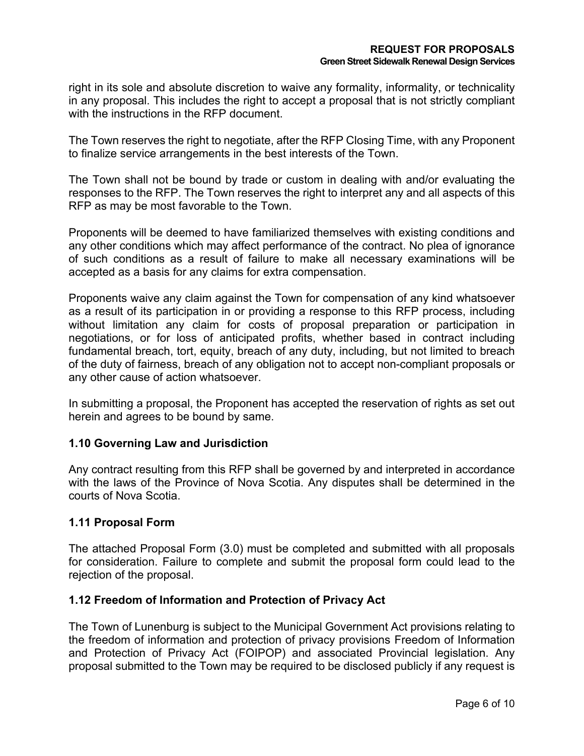right in its sole and absolute discretion to waive any formality, informality, or technicality in any proposal. This includes the right to accept a proposal that is not strictly compliant with the instructions in the RFP document.

The Town reserves the right to negotiate, after the RFP Closing Time, with any Proponent to finalize service arrangements in the best interests of the Town.

The Town shall not be bound by trade or custom in dealing with and/or evaluating the responses to the RFP. The Town reserves the right to interpret any and all aspects of this RFP as may be most favorable to the Town.

Proponents will be deemed to have familiarized themselves with existing conditions and any other conditions which may affect performance of the contract. No plea of ignorance of such conditions as a result of failure to make all necessary examinations will be accepted as a basis for any claims for extra compensation.

Proponents waive any claim against the Town for compensation of any kind whatsoever as a result of its participation in or providing a response to this RFP process, including without limitation any claim for costs of proposal preparation or participation in negotiations, or for loss of anticipated profits, whether based in contract including fundamental breach, tort, equity, breach of any duty, including, but not limited to breach of the duty of fairness, breach of any obligation not to accept non-compliant proposals or any other cause of action whatsoever.

In submitting a proposal, the Proponent has accepted the reservation of rights as set out herein and agrees to be bound by same.

## **1.10 Governing Law and Jurisdiction**

Any contract resulting from this RFP shall be governed by and interpreted in accordance with the laws of the Province of Nova Scotia. Any disputes shall be determined in the courts of Nova Scotia.

## **1.11 Proposal Form**

The attached Proposal Form (3.0) must be completed and submitted with all proposals for consideration. Failure to complete and submit the proposal form could lead to the rejection of the proposal.

#### **1.12 Freedom of Information and Protection of Privacy Act**

The Town of Lunenburg is subject to the Municipal Government Act provisions relating to the freedom of information and protection of privacy provisions Freedom of Information and Protection of Privacy Act (FOIPOP) and associated Provincial legislation. Any proposal submitted to the Town may be required to be disclosed publicly if any request is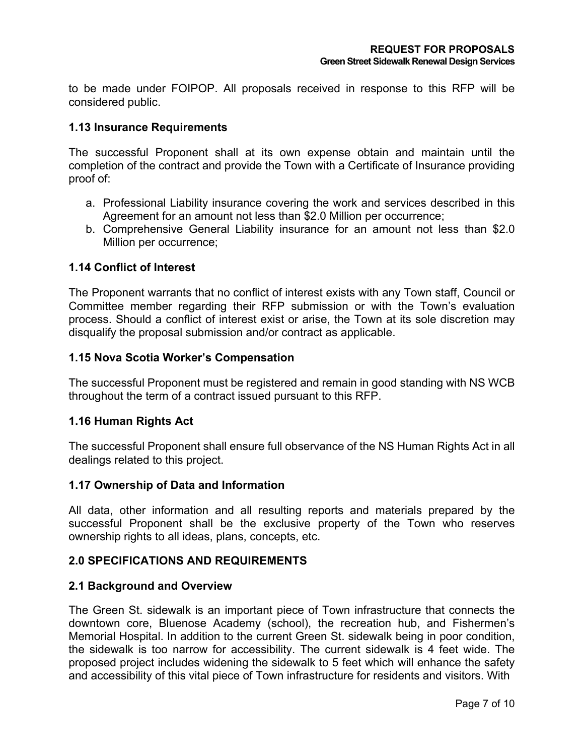to be made under FOIPOP. All proposals received in response to this RFP will be considered public.

## **1.13 Insurance Requirements**

The successful Proponent shall at its own expense obtain and maintain until the completion of the contract and provide the Town with a Certificate of Insurance providing proof of:

- a. Professional Liability insurance covering the work and services described in this Agreement for an amount not less than \$2.0 Million per occurrence;
- b. Comprehensive General Liability insurance for an amount not less than \$2.0 Million per occurrence;

## **1.14 Conflict of Interest**

The Proponent warrants that no conflict of interest exists with any Town staff, Council or Committee member regarding their RFP submission or with the Town's evaluation process. Should a conflict of interest exist or arise, the Town at its sole discretion may disqualify the proposal submission and/or contract as applicable.

## **1.15 Nova Scotia Worker's Compensation**

The successful Proponent must be registered and remain in good standing with NS WCB throughout the term of a contract issued pursuant to this RFP.

#### **1.16 Human Rights Act**

The successful Proponent shall ensure full observance of the NS Human Rights Act in all dealings related to this project.

#### **1.17 Ownership of Data and Information**

All data, other information and all resulting reports and materials prepared by the successful Proponent shall be the exclusive property of the Town who reserves ownership rights to all ideas, plans, concepts, etc.

## **2.0 SPECIFICATIONS AND REQUIREMENTS**

#### **2.1 Background and Overview**

The Green St. sidewalk is an important piece of Town infrastructure that connects the downtown core, Bluenose Academy (school), the recreation hub, and Fishermen's Memorial Hospital. In addition to the current Green St. sidewalk being in poor condition, the sidewalk is too narrow for accessibility. The current sidewalk is 4 feet wide. The proposed project includes widening the sidewalk to 5 feet which will enhance the safety and accessibility of this vital piece of Town infrastructure for residents and visitors. With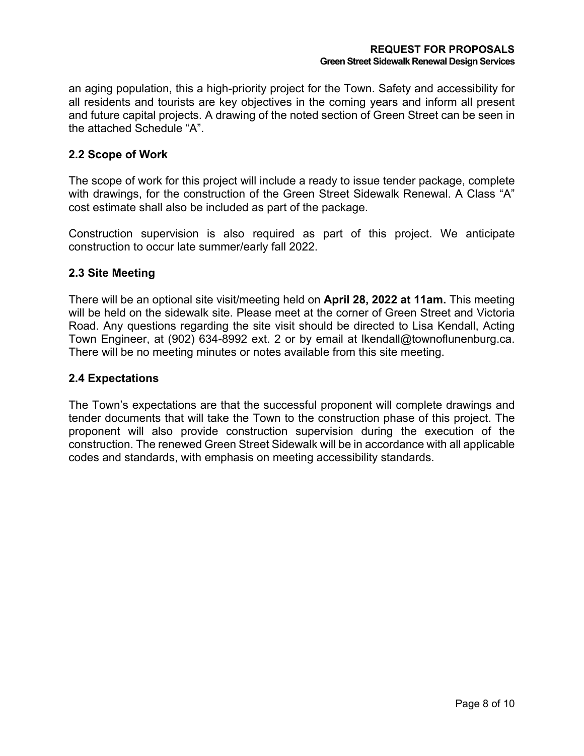an aging population, this a high-priority project for the Town. Safety and accessibility for all residents and tourists are key objectives in the coming years and inform all present and future capital projects. A drawing of the noted section of Green Street can be seen in the attached Schedule "A".

## **2.2 Scope of Work**

The scope of work for this project will include a ready to issue tender package, complete with drawings, for the construction of the Green Street Sidewalk Renewal. A Class "A" cost estimate shall also be included as part of the package.

Construction supervision is also required as part of this project. We anticipate construction to occur late summer/early fall 2022.

#### **2.3 Site Meeting**

There will be an optional site visit/meeting held on **April 28, 2022 at 11am.** This meeting will be held on the sidewalk site. Please meet at the corner of Green Street and Victoria Road. Any questions regarding the site visit should be directed to Lisa Kendall, Acting Town Engineer, at (902) 634-8992 ext. 2 or by email at lkendall@townoflunenburg.ca. There will be no meeting minutes or notes available from this site meeting.

#### **2.4 Expectations**

The Town's expectations are that the successful proponent will complete drawings and tender documents that will take the Town to the construction phase of this project. The proponent will also provide construction supervision during the execution of the construction. The renewed Green Street Sidewalk will be in accordance with all applicable codes and standards, with emphasis on meeting accessibility standards.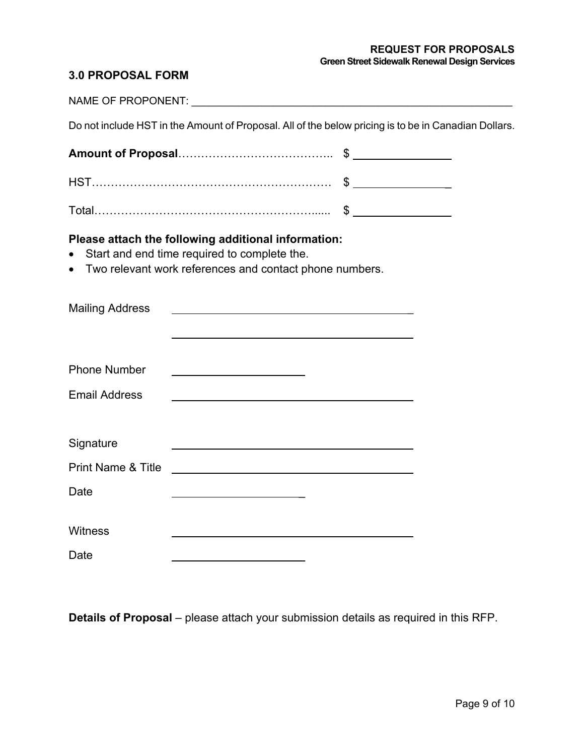#### **REQUEST FOR PROPOSALS Green Street Sidewalk Renewal Design Services**

## **3.0 PROPOSAL FORM**

|                                            | Do not include HST in the Amount of Proposal. All of the below pricing is to be in Canadian Dollars.                                                           |  |
|--------------------------------------------|----------------------------------------------------------------------------------------------------------------------------------------------------------------|--|
|                                            |                                                                                                                                                                |  |
|                                            |                                                                                                                                                                |  |
|                                            |                                                                                                                                                                |  |
|                                            | Please attach the following additional information:<br>Start and end time required to complete the.<br>Two relevant work references and contact phone numbers. |  |
| <b>Mailing Address</b>                     |                                                                                                                                                                |  |
| <b>Phone Number</b>                        |                                                                                                                                                                |  |
| <b>Email Address</b>                       |                                                                                                                                                                |  |
| Signature<br><b>Print Name &amp; Title</b> |                                                                                                                                                                |  |
| Date                                       | <u> 1989 - Johann Barn, mars ann an t-Amhair an t-Amhair an t-Amhair an t-Amhair an t-Amhair an t-Amhair an t-Amh</u>                                          |  |
|                                            |                                                                                                                                                                |  |
| <b>Witness</b>                             |                                                                                                                                                                |  |
| Date                                       |                                                                                                                                                                |  |

**Details of Proposal** – please attach your submission details as required in this RFP.